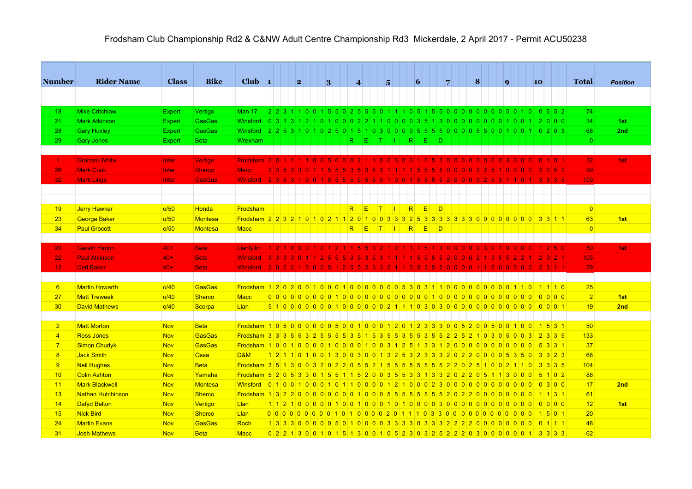| <b>Number</b>    | <b>Rider Name</b>        | <b>Class</b>  | <b>Bike</b>    | Club $\vert$ 1                                                                                    |  | 2           | 3 |    |                | $\overline{\mathbf{4}}$     |              | $\overline{5}$    | 6 |          |        | $\overline{7}$ | 8                                     |  | $\mathbf{q}$ |  | 10 |                                                                                         | <b>Total</b>    | <b>Position</b> |  |
|------------------|--------------------------|---------------|----------------|---------------------------------------------------------------------------------------------------|--|-------------|---|----|----------------|-----------------------------|--------------|-------------------|---|----------|--------|----------------|---------------------------------------|--|--------------|--|----|-----------------------------------------------------------------------------------------|-----------------|-----------------|--|
|                  |                          |               |                |                                                                                                   |  |             |   |    |                |                             |              |                   |   |          |        |                |                                       |  |              |  |    |                                                                                         |                 |                 |  |
| 18               | <b>Mike Critchlow</b>    | <b>Expert</b> | Vertigo        | <b>Man 17</b>                                                                                     |  |             |   |    |                |                             |              |                   |   |          |        |                |                                       |  |              |  |    | 2 2 3 1 1 0 0 1 5 5 0 2 5 5 6 0 1 1 1 0 5 1 5 5 0 0 0 0 0 0 0 0 5 0 1 0 0 5 5 2         | 74              |                 |  |
| 21               | <b>Mark Atkinson</b>     | <b>Expert</b> | <b>GasGas</b>  | Winsford                                                                                          |  |             |   |    |                |                             |              |                   |   |          |        |                |                                       |  |              |  |    | 0 3 1 3 1 2 1 0 1 0 0 0 2 2 1 1 0 0 0 0 3 5 1 3 0 0 0 0 0 0 0 0 1 0 0 1 2 0 0 0         | 34              | 1st             |  |
| 28               | <b>Gary Huxley</b>       | Expert        | <b>GasGas</b>  | <b>Winsford</b>                                                                                   |  |             |   |    |                |                             |              |                   |   |          |        |                |                                       |  |              |  |    | 2 2 5 3 1 0 1 0 2 5 0 1 5 1 0 3 0 0 0 0 5 5 5 6 0 0 0 0 5 5 5 0 0 1 0 0 1 0 0 1 0 2 0 3 | 68              | 2nd             |  |
| 29               | <b>Gary Jones</b>        | <b>Expert</b> | <b>Beta</b>    | Wrexham                                                                                           |  |             |   |    |                | $R$ $E$ $T$ $I$ $R$ $E$ $D$ |              |                   |   |          |        |                |                                       |  |              |  |    |                                                                                         | $\overline{0}$  |                 |  |
|                  |                          |               |                |                                                                                                   |  |             |   |    |                |                             |              |                   |   |          |        |                |                                       |  |              |  |    |                                                                                         |                 |                 |  |
| $\mathbf{1}$     | <b>Graham White</b>      | Inter         | Vertigo        | Frodsham 0 0 1 1 1 1 1 0 0 5 0 0 0 2 1 1 0 0 0 0 0 1 5 5 3 0 0 0 0 0 0 0 0 3 0 0 0                |  |             |   |    |                |                             |              |                   |   |          |        |                |                                       |  |              |  |    | 011011                                                                                  | 32              | 1st             |  |
| 26               | <b>Mark Cook</b>         | Inter         | <b>Sherco</b>  | <b>Macc</b>                                                                                       |  | 3 3 5 3 3 0 |   |    |                |                             | 3 5 3        |                   |   |          |        |                | 1 1 1 1 1 5 5 5 5 6 0 0 0 0 3         |  |              |  |    | 2 2 5 2                                                                                 | 99              |                 |  |
| 32               | <b>Mark Linge</b>        | Inter         | <b>GasGas</b>  | Winsford 235310015                                                                                |  |             |   | -5 | 5 5            | 15.                         |              |                   |   |          |        |                | 5 5 5 1 0 0 1 5 5 5 5 2 0 0 0 3 2 5 3 |  |              |  |    | $1 1 0 1 $ 3 3 3 5                                                                      | 109             |                 |  |
|                  |                          |               |                |                                                                                                   |  |             |   |    |                |                             |              |                   |   |          |        |                |                                       |  |              |  |    |                                                                                         |                 |                 |  |
|                  |                          |               |                |                                                                                                   |  |             |   |    |                |                             |              |                   |   |          |        |                |                                       |  |              |  |    |                                                                                         |                 |                 |  |
| 19               | <b>Jerry Hawker</b>      | o/50          | <b>Honda</b>   | Frodsham                                                                                          |  |             |   |    | R              | IE.                         | $\mathsf{T}$ | $\mathbf{L}$      | R | E        | $\Box$ |                |                                       |  |              |  |    |                                                                                         | $\overline{0}$  |                 |  |
| 23               | <b>George Baker</b>      | o/50          | Montesa        | <u>Frodsham 2 2 3 2 1 0 1 0 2 1 1 2 0 1 0 0 3 3 3 2 5 3 3 3 3 3 3 3 0 0 0 0 0 0 0 0 0 3 3 1 1</u> |  |             |   |    |                |                             |              |                   |   |          |        |                |                                       |  |              |  |    |                                                                                         | 63              | 1st             |  |
| 34               | <b>Paul Grocott</b>      | o/50          | <b>Montesa</b> | <b>Macc</b>                                                                                       |  |             |   |    | R <sub>1</sub> | E                           |              | $ T $ $ I $ $ R $ |   | <b>E</b> | $\Box$ |                |                                       |  |              |  |    |                                                                                         | $\overline{0}$  |                 |  |
|                  |                          |               |                |                                                                                                   |  |             |   |    |                |                             |              |                   |   |          |        |                |                                       |  |              |  |    |                                                                                         |                 |                 |  |
| 20               | <b>Gareth Hinton</b>     | $40+$         | <b>Beta</b>    | <b>Llanfvllin</b>                                                                                 |  |             |   |    |                |                             |              |                   |   | -5.      |        |                |                                       |  |              |  |    | 2 5 0                                                                                   | 50 <sup>1</sup> | 1st             |  |
| 22               | <b>Paul Atkinson</b>     | $40+$         | <b>Beta</b>    | <b>Winsford</b>                                                                                   |  |             |   |    |                |                             |              |                   |   |          |        |                |                                       |  |              |  |    | $3 2 1$                                                                                 | 105             |                 |  |
| 12 <sub>12</sub> | <b>Carl Baker</b>        | $40+$         | <b>Beta</b>    | Winsford 20221000051                                                                              |  |             |   |    |                |                             |              |                   |   |          |        |                |                                       |  |              |  |    | 2552330110535200001100000002311                                                         | 59              |                 |  |
|                  |                          |               |                |                                                                                                   |  |             |   |    |                |                             |              |                   |   |          |        |                |                                       |  |              |  |    |                                                                                         |                 |                 |  |
| 6                | <b>Martin Howarth</b>    | o/40          | GasGas         |                                                                                                   |  |             |   |    |                |                             |              |                   |   |          |        |                |                                       |  |              |  |    |                                                                                         | 25              |                 |  |
| 27               | <b>Matt Treweek</b>      | o/40          | <b>Sherco</b>  | <b>Macc</b>                                                                                       |  |             |   |    |                |                             |              |                   |   |          |        |                |                                       |  |              |  |    |                                                                                         | 2               | 1st             |  |
| 30               | <b>David Mathews</b>     | o/40          | Scorpa         | Llan                                                                                              |  |             |   |    |                |                             |              |                   |   |          |        |                |                                       |  |              |  |    |                                                                                         | 19              | 2nd             |  |
|                  |                          |               |                |                                                                                                   |  |             |   |    |                |                             |              |                   |   |          |        |                |                                       |  |              |  |    |                                                                                         |                 |                 |  |
| $\overline{2}$   | <b>Matt Morton</b>       | <b>Nov</b>    | <b>Beta</b>    | <u>Frodsham 10500000005001000120123330052005001001001531</u>                                      |  |             |   |    |                |                             |              |                   |   |          |        |                |                                       |  |              |  |    |                                                                                         | 50              |                 |  |
| $\overline{4}$   | <b>Ross Jones</b>        | <b>Nov</b>    | <b>GasGas</b>  |                                                                                                   |  |             |   |    |                |                             |              |                   |   |          |        |                |                                       |  |              |  |    |                                                                                         | 133             |                 |  |
| $\overline{7}$   | <b>Simon Chudyk</b>      | <b>Nov</b>    | GasGas         |                                                                                                   |  |             |   |    |                |                             |              |                   |   |          |        |                |                                       |  |              |  |    |                                                                                         | 37              |                 |  |
| 8                | <b>Jack Smith</b>        | <b>Nov</b>    | <b>Ossa</b>    | <b>D&amp;M</b>                                                                                    |  |             |   |    |                |                             |              |                   |   |          |        |                |                                       |  |              |  |    | 1 2 1 1 0 1 0 0 1 3 0 0 3 0 0 1 3 2 5 3 2 3 3 3 2 0 2 2 0 0 0 0 5 3 5 0 3 3 2 3         | 68              |                 |  |
| 9                | <b>Neil Hughes</b>       | Nov           | <b>Beta</b>    | <u>Frodsham 3 5 1 3 0 0 3 2 0 2 2 0 5 5 2 1 5 5 5 5 5 5 5 6 5 2 2 0 2 5 1 0 0 2 1 1 0 3 3 3 5</u> |  |             |   |    |                |                             |              |                   |   |          |        |                |                                       |  |              |  |    |                                                                                         | 104             |                 |  |
| 10               | <b>Colin Ashton</b>      | <b>Nov</b>    | Yamaha         | <u>Frodsham 5 2 0 5 3 3 0 1 5 5 1 1 5 2 0 0 3 5 5 3 3 1 3 3 2 0 2 2 0 5 1 1 3 0 0 0 5 1 0 2</u>   |  |             |   |    |                |                             |              |                   |   |          |        |                |                                       |  |              |  |    |                                                                                         | 88              |                 |  |
| 11               | <b>Mark Blackwell</b>    | <b>Nov</b>    | <b>Montesa</b> |                                                                                                   |  |             |   |    |                |                             |              |                   |   |          |        |                |                                       |  |              |  |    |                                                                                         | 17              | 2nd             |  |
| 13               | <b>Nathan Hutchinson</b> | <b>Nov</b>    | <b>Sherco</b>  |                                                                                                   |  |             |   |    |                |                             |              |                   |   |          |        |                |                                       |  |              |  |    |                                                                                         | 61              |                 |  |
| 14               | <b>Dafyd Belton</b>      | <b>Nov</b>    | Vertigo        | Llan                                                                                              |  |             |   |    |                |                             |              |                   |   |          |        |                |                                       |  |              |  |    |                                                                                         | 12              | 1st             |  |
| 15               | <b>Nick Bird</b>         | Nov           | Sherco         | Llan                                                                                              |  |             |   |    |                |                             |              |                   |   |          |        |                |                                       |  |              |  |    |                                                                                         | 20              |                 |  |
| 24               | <b>Martin Evans</b>      | <b>Nov</b>    | <b>GasGas</b>  | <b>Roch</b>                                                                                       |  |             |   |    |                |                             |              |                   |   |          |        |                |                                       |  |              |  |    | 133300005010003333033222000000000111                                                    | 48              |                 |  |
| 31               | <b>Josh Mathews</b>      | <b>Nov</b>    | <b>Beta</b>    | <b>Macc</b>                                                                                       |  |             |   |    |                |                             |              |                   |   |          |        |                |                                       |  |              |  |    | 0 2 2 1 3 0 0 1 0 1 5 1 3 0 0 1 0 5 2 3 0 3 2 5 2 2 2 0 3 0 0 0 0 0 0 1 3 3 3 3         | 62              |                 |  |